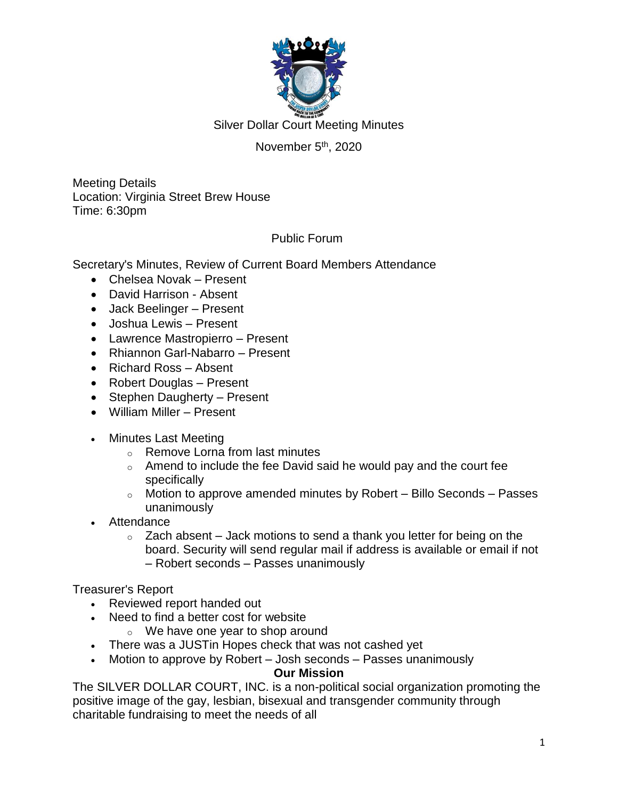

# November 5<sup>th</sup>, 2020

Meeting Details Location: Virginia Street Brew House Time: 6:30pm

## Public Forum

Secretary's Minutes, Review of Current Board Members Attendance

- Chelsea Novak Present
- David Harrison Absent
- Jack Beelinger Present
- Joshua Lewis Present
- Lawrence Mastropierro Present
- Rhiannon Garl-Nabarro Present
- Richard Ross Absent
- Robert Douglas Present
- Stephen Daugherty Present
- William Miller Present
- Minutes Last Meeting
	- o Remove Lorna from last minutes
	- $\circ$  Amend to include the fee David said he would pay and the court fee specifically
	- $\circ$  Motion to approve amended minutes by Robert Billo Seconds Passes unanimously
- Attendance
	- $\circ$  Zach absent Jack motions to send a thank you letter for being on the board. Security will send regular mail if address is available or email if not – Robert seconds – Passes unanimously

Treasurer's Report

- Reviewed report handed out
- Need to find a better cost for website
	- o We have one year to shop around
- There was a JUSTin Hopes check that was not cashed yet
- Motion to approve by Robert Josh seconds Passes unanimously

#### **Our Mission**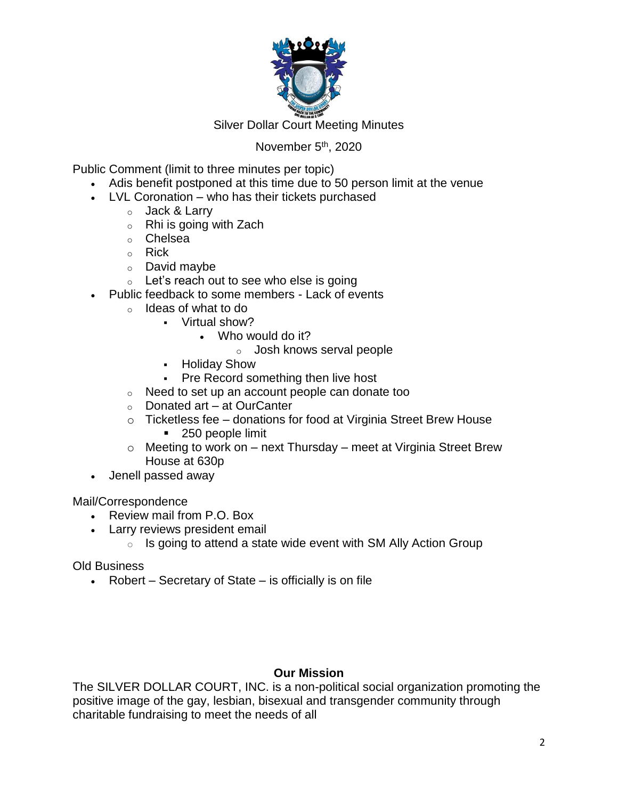

#### November 5<sup>th</sup>, 2020

Public Comment (limit to three minutes per topic)

- Adis benefit postponed at this time due to 50 person limit at the venue
- LVL Coronation who has their tickets purchased
	- o Jack & Larry
	- $\circ$  Rhi is going with Zach
	- o Chelsea
	- o Rick
	- o David maybe
	- $\circ$  Let's reach out to see who else is going
- Public feedback to some members Lack of events
	- o Ideas of what to do
		- Virtual show?
			- Who would do it?
				- o Josh knows serval people
			- **-** Holiday Show
			- Pre Record something then live host
	- o Need to set up an account people can donate too
	- o Donated art at OurCanter
	- $\circ$  Ticketless fee donations for food at Virginia Street Brew House ■ 250 people limit
	- $\circ$  Meeting to work on next Thursday meet at Virginia Street Brew House at 630p
- Jenell passed away

Mail/Correspondence

- Review mail from P.O. Box
- Larry reviews president email
	- $\circ$  Is going to attend a state wide event with SM Ally Action Group

Old Business

• Robert – Secretary of State – is officially is on file

## **Our Mission**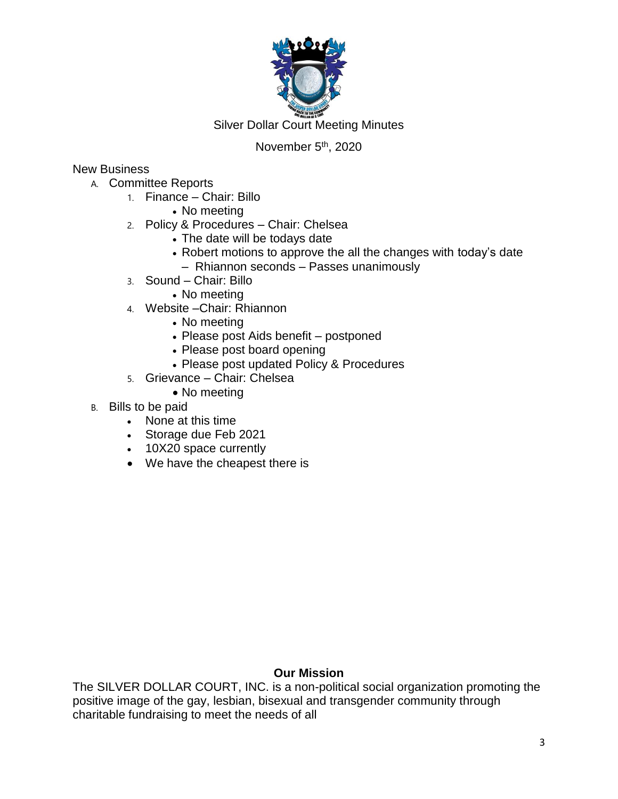

# November 5<sup>th</sup>, 2020

## New Business

- A. Committee Reports
	- 1. Finance Chair: Billo
		- No meeting
	- 2. Policy & Procedures Chair: Chelsea
		- The date will be todays date
		- Robert motions to approve the all the changes with today's date
			- Rhiannon seconds Passes unanimously
	- 3. Sound Chair: Billo
		- No meeting
	- 4. Website –Chair: Rhiannon
		- No meeting
		- Please post Aids benefit postponed
		- Please post board opening
		- Please post updated Policy & Procedures
	- 5. Grievance Chair: Chelsea
		- No meeting
- B. Bills to be paid
	- None at this time
	- Storage due Feb 2021
	- 10X20 space currently
	- We have the cheapest there is

#### **Our Mission**